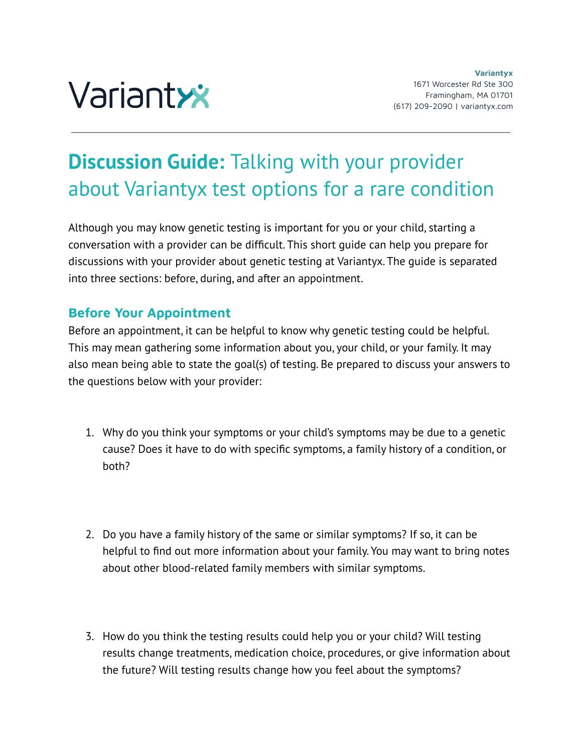

## **Discussion Guide:** Talking with your provider about Variantyx test options for a rare condition

Although you may know genetic testing is important for you or your child, starting a conversation with a provider can be difficult. This short guide can help you prepare for discussions with your provider about genetic testing at Variantyx. The guide is separated into three sections: before, during, and after an appointment.

## **Before Your Appointment**

Before an appointment, it can be helpful to know why genetic testing could be helpful. This may mean gathering some information about you, your child, or your family. It may also mean being able to state the goal(s) of testing. Be prepared to discuss your answers to the questions below with your provider:

- 1. Why do you think your symptoms or your child's symptoms may be due to a genetic cause? Does it have to do with specific symptoms, a family history of a condition, or both?
- 2. Do you have a family history of the same or similar symptoms? If so, it can be helpful to find out more information about your family. You may want to bring notes about other blood-related family members with similar symptoms.
- 3. How do you think the testing results could help you or your child? Will testing results change treatments, medication choice, procedures, or give information about the future? Will testing results change how you feel about the symptoms?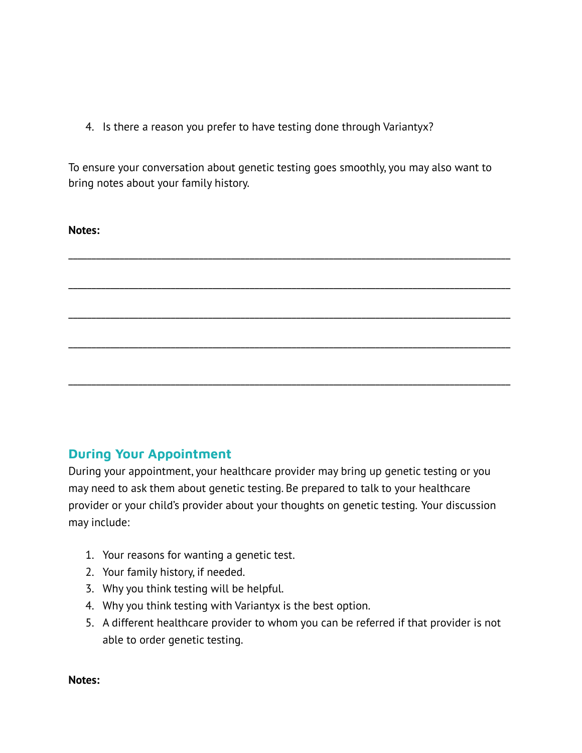4. Is there a reason you prefer to have testing done through Variantyx?

To ensure your conversation about genetic testing goes smoothly, you may also want to bring notes about your family history.

| Notes: |  |  |  |
|--------|--|--|--|
|        |  |  |  |
|        |  |  |  |
|        |  |  |  |
|        |  |  |  |
|        |  |  |  |

## **During Your Appointment**

During your appointment, your healthcare provider may bring up genetic testing or you may need to ask them about genetic testing. Be prepared to talk to your healthcare provider or your child's provider about your thoughts on genetic testing. Your discussion may include:

- 1. Your reasons for wanting a genetic test.
- 2. Your family history, if needed.
- 3. Why you think testing will be helpful.
- 4. Why you think testing with Variantyx is the best option.
- 5. A different healthcare provider to whom you can be referred if that provider is not able to order genetic testing.

**Notes:**